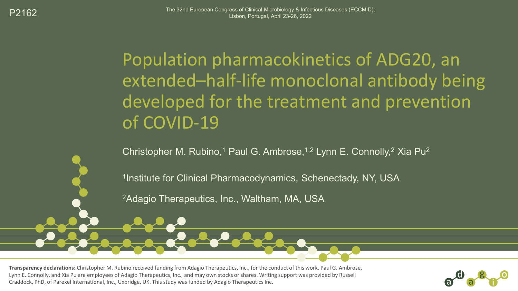Population pharmacokinetics of ADG20, an extended–half-life monoclonal antibody being developed for the treatment and prevention of COVID-19

Christopher M. Rubino,<sup>1</sup> Paul G. Ambrose,<sup>1,2</sup> Lynn E. Connolly,<sup>2</sup> Xia Pu<sup>2</sup>

<sup>1</sup>Institute for Clinical Pharmacodynamics, Schenectady, NY, USA

2Adagio Therapeutics, Inc., Waltham, MA, USA

**Transparency declarations:** Christopher M. Rubino received funding from Adagio Therapeutics, Inc., for the conduct of this work. Paul G. Ambrose, Lynn E. Connolly, and Xia Pu are employees of Adagio Therapeutics, Inc., and may own stocks or shares. Writing support was provided by Russell Craddock, PhD, of Parexel International, Inc., Uxbridge, UK. This study was funded by Adagio Therapeutics Inc.

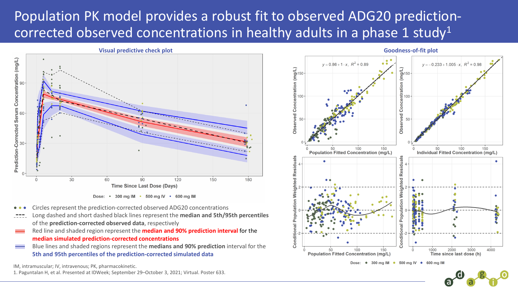## Population PK model provides a robust fit to observed ADG20 predictioncorrected observed concentrations in healthy adults in a phase 1 study<sup>1</sup>





- Circles represent the prediction-corrected observed ADG20 concentrations
- Long dashed and short dashed black lines represent the **median and 5th/95th percentiles**  of the **prediction-corrected observed data**, respectively
- Red line and shaded region represent the **median and 90% prediction interval** for the **median simulated prediction-corrected concentrations**
- = Blue lines and shaded regions represent the **medians and 90% prediction** interval for the **5th and 95th percentiles of the prediction-corrected simulated data**

IM, intramuscular; IV, intravenous; PK, pharmacokinetic.

1. Paguntalan H, et al. Presented at IDWeek; September 29–October 3, 2021; Virtual. Poster 633.

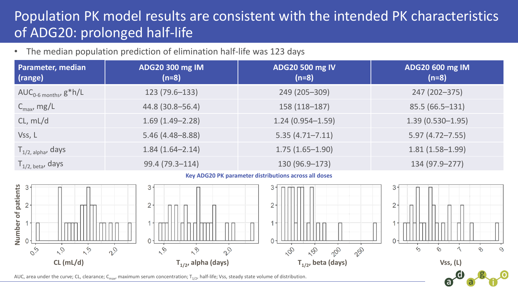## Population PK model results are consistent with the intended PK characteristics of ADG20: prolonged half-life

• The median population prediction of elimination half-life was 123 days

| <b>Parameter, median</b><br>(range) | ADG20 300 mg IM<br>(n=8) | <b>ADG20 500 mg IV</b><br>$(n=8)$ | ADG20 600 mg IM<br>$(n=8)$ |
|-------------------------------------|--------------------------|-----------------------------------|----------------------------|
| $AUC_{0.6 \text{ months}}$ $g^*h/L$ | $123(79.6-133)$          | 249 (205-309)                     | 247 (202-375)              |
| $C_{\text{max}}$ , mg/L             | 44.8 (30.8-56.4)         | 158 (118-187)                     | $85.5(66.5-131)$           |
| CL, mL/d                            | $1.69(1.49 - 2.28)$      | $1.24(0.954 - 1.59)$              | $1.39(0.530 - 1.95)$       |
| Vss, L                              | $5.46(4.48 - 8.88)$      | $5.35(4.71 - 7.11)$               | $5.97(4.72 - 7.55)$        |
| $T_{1/2,~\text{alpha}}$ , days      | $1.84(1.64 - 2.14)$      | $1.75(1.65 - 1.90)$               | $1.81(1.58 - 1.99)$        |
| $T_{1/2, \text{ beta}}$ , days      | 99.4 (79.3-114)          | 130 (96.9-173)                    | 134 (97.9 - 277)           |

**Key ADG20 PK parameter distributions across all doses**



ra)

AUC, area under the curve; CL, clearance; C<sub>max</sub>, maximum serum concentration; T<sub>1/2</sub>, half-life; Vss, steady state volume of distribution.